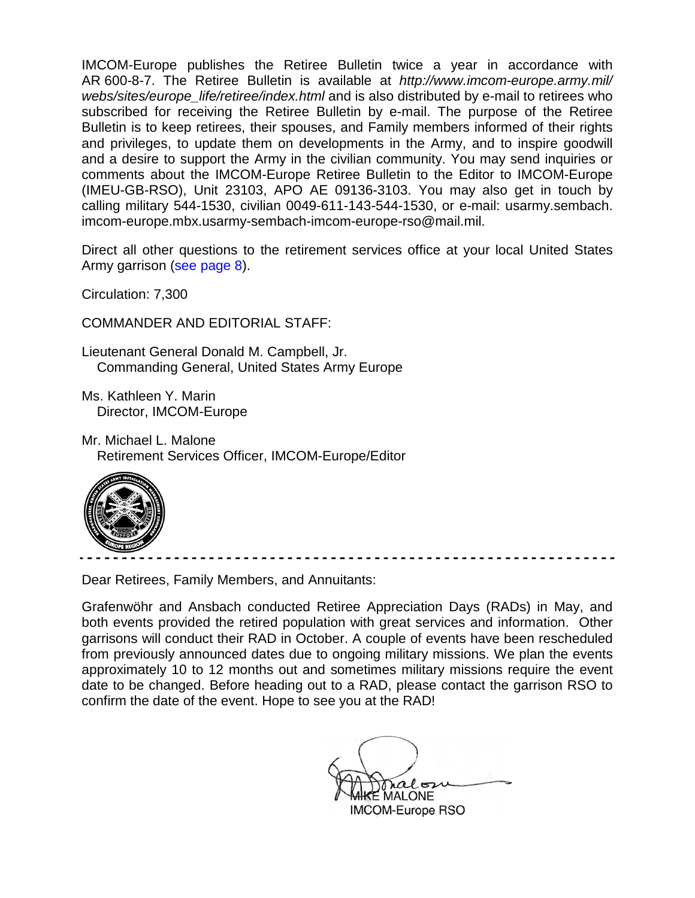IMCOM-Europe publishes the Retiree Bulletin twice a year in accordance with AR 600-8-7. The Retiree Bulletin is available at *[http://www.imcom-europe.army.mil/](http://www.imcom-europe.army.mil/webs/sites/europe_life/retiree/index.html) [webs/sites/europe\\_life/retiree/index.html](http://www.imcom-europe.army.mil/webs/sites/europe_life/retiree/index.html)* and is also distributed by e-mail to retirees who subscribed for receiving the Retiree Bulletin by e-mail. The purpose of the Retiree Bulletin is to keep retirees, their spouses, and Family members informed of their rights and privileges, to update them on developments in the Army, and to inspire goodwill and a desire to support the Army in the civilian community. You may send inquiries or comments about the IMCOM-Europe Retiree Bulletin to the Editor to IMCOM-Europe (IMEU-GB-RSO), Unit 23103, APO AE 09136-3103. You may also get in touch by calling military 544-1530, civilian 0049-611-143-544-1530, or e-mail: [usarmy.sembach.](mailto:usarmy.sembach.imcom-europe.mbx.usarmy-sembach-imcom-europe-rso@mail.mil) [imcom-europe.mbx.usarmy-sembach-imcom-europe-rso@mail.mil.](mailto:usarmy.sembach.imcom-europe.mbx.usarmy-sembach-imcom-europe-rso@mail.mil)

Direct all other questions to the retirement services office at your local United States Army garrison (see [page 8\)](#page-8-0).

Circulation: 7,300

COMMANDER AND EDITORIAL STAFF:

Lieutenant General Donald M. Campbell, Jr. Commanding General, United States Army Europe

Ms. Kathleen Y. Marin Director, IMCOM-Europe

Mr. Michael L. Malone Retirement Services Officer, IMCOM-Europe/Editor



Dear Retirees, Family Members, and Annuitants:

Grafenwöhr and Ansbach conducted Retiree Appreciation Days (RADs) in May, and both events provided the retired population with great services and information. Other garrisons will conduct their RAD in October. A couple of events have been rescheduled from previously announced dates due to ongoing military missions. We plan the events approximately 10 to 12 months out and sometimes military missions require the event date to be changed. Before heading out to a RAD, please contact the garrison RSO to confirm the date of the event. Hope to see you at the RAD!

 $halcm$ **MALONE** IMCOM-Europe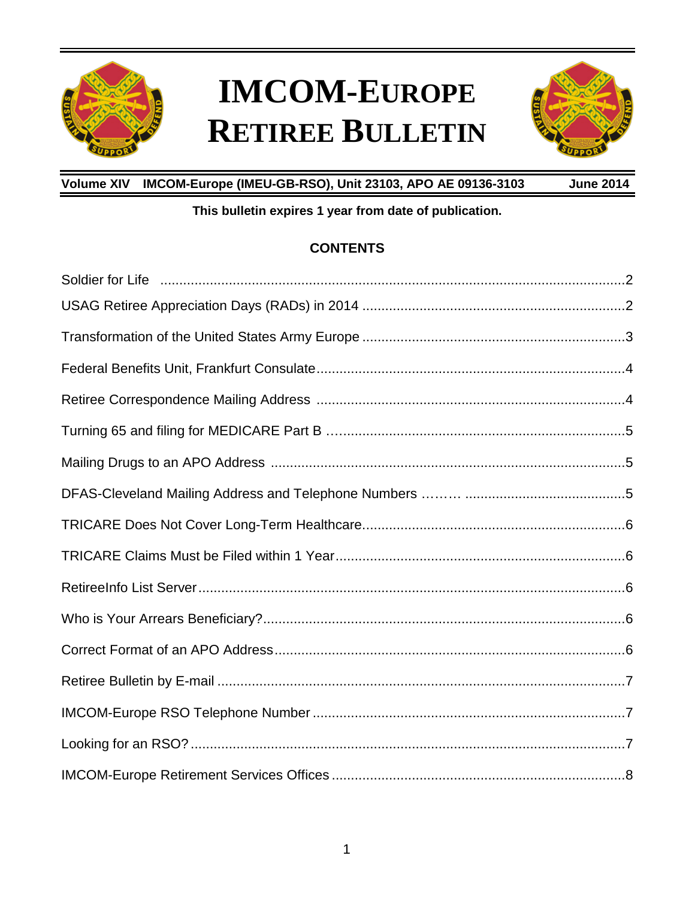

# **IMCOM-EUROPE RETIREE BULLETIN**



**Volume XIV IMCOM-Europe (IMEU-GB-RSO), Unit 23103, APO AE 09136-3103 June 2014**

### **This bulletin expires 1 year from date of publication.**

### **CONTENTS**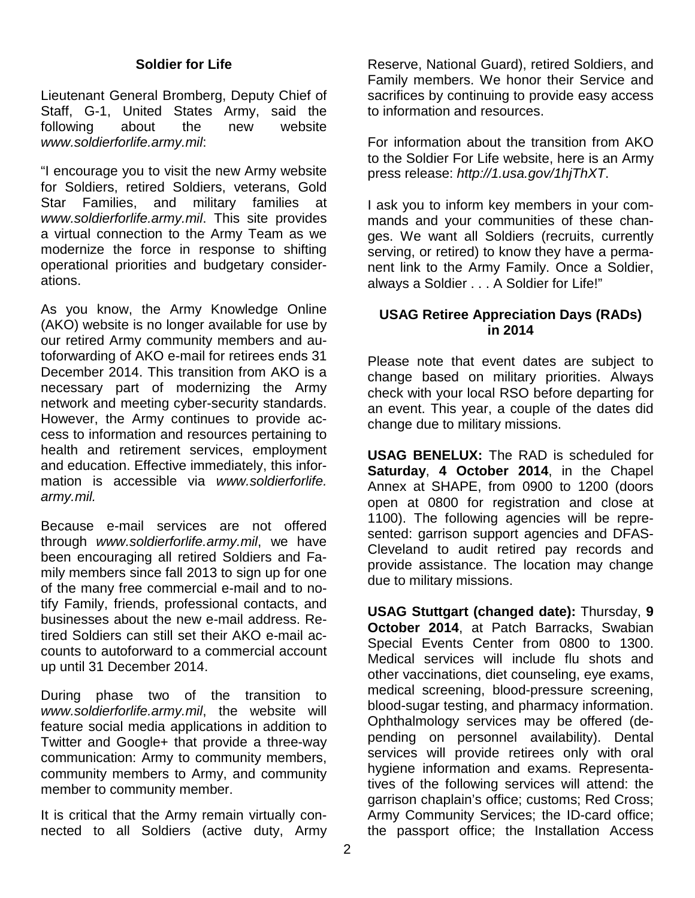### **Soldier for Life**

Lieutenant General Bromberg, Deputy Chief of Staff, G-1, United States Army, said the following about the new website *www.soldierforlife.army.mil*:

"I encourage you to visit the new Army website for Soldiers, retired Soldiers, veterans, Gold Star Families, and military families at *www.soldierforlife.army.mil*. This site provides a virtual connection to the Army Team as we modernize the force in response to shifting operational priorities and budgetary considerations.

As you know, the Army Knowledge Online (AKO) website is no longer available for use by our retired Army community members and autoforwarding of AKO e-mail for retirees ends 31 December 2014. This transition from AKO is a necessary part of modernizing the Army network and meeting cyber-security standards. However, the Army continues to provide access to information and resources pertaining to health and retirement services, employment and education. Effective immediately, this information is accessible via *www.soldierforlife. army.mil.* 

Because e-mail services are not offered through *www.soldierforlife.army.mil*, we have been encouraging all retired Soldiers and Family members since fall 2013 to sign up for one of the many free commercial e-mail and to notify Family, friends, professional contacts, and businesses about the new e-mail address. Retired Soldiers can still set their AKO e-mail accounts to autoforward to a commercial account up until 31 December 2014.

During phase two of the transition to *www.soldierforlife.army.mil*, the website will feature social media applications in addition to Twitter and Google+ that provide a three-way communication: Army to community members, community members to Army, and community member to community member.

It is critical that the Army remain virtually connected to all Soldiers (active duty, Army

Reserve, National Guard), retired Soldiers, and Family members. We honor their Service and sacrifices by continuing to provide easy access to information and resources.

For information about the transition from AKO to the Soldier For Life website, here is an Army press release: *http://1.usa.gov/1hjThXT*.

I ask you to inform key members in your commands and your communities of these changes. We want all Soldiers (recruits, currently serving, or retired) to know they have a permanent link to the Army Family. Once a Soldier, always a Soldier . . . A Soldier for Life!"

#### **USAG Retiree Appreciation Days (RADs) in 2014**

Please note that event dates are subject to change based on military priorities. Always check with your local RSO before departing for an event. This year, a couple of the dates did change due to military missions.

**USAG BENELUX:** The RAD is scheduled for **Saturday**, **4 October 2014**, in the Chapel Annex at SHAPE, from 0900 to 1200 (doors open at 0800 for registration and close at 1100). The following agencies will be represented: garrison support agencies and DFAS-Cleveland to audit retired pay records and provide assistance. The location may change due to military missions.

**USAG Stuttgart (changed date):** Thursday, **9 October 2014**, at Patch Barracks, Swabian Special Events Center from 0800 to 1300. Medical services will include flu shots and other vaccinations, diet counseling, eye exams, medical screening, blood-pressure screening, blood-sugar testing, and pharmacy information. Ophthalmology services may be offered (depending on personnel availability). Dental services will provide retirees only with oral hygiene information and exams. Representatives of the following services will attend: the garrison chaplain's office; customs; Red Cross; Army Community Services; the ID-card office; the passport office; the Installation Access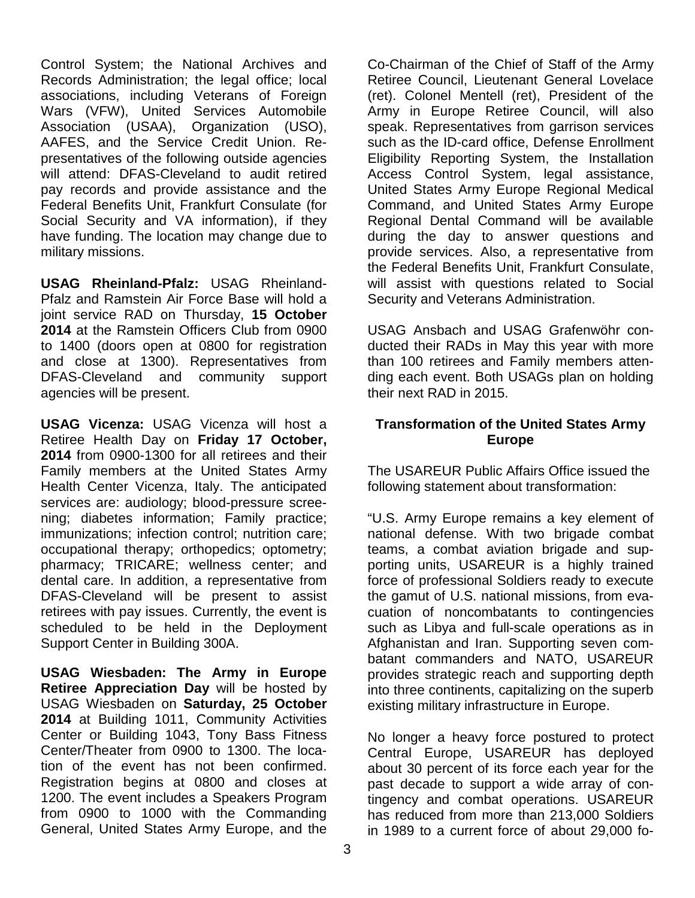Control System; the National Archives and Records Administration; the legal office; local associations, including Veterans of Foreign Wars (VFW), United Services Automobile Association (USAA), Organization (USO), AAFES, and the Service Credit Union. Representatives of the following outside agencies will attend: DFAS-Cleveland to audit retired pay records and provide assistance and the Federal Benefits Unit, Frankfurt Consulate (for Social Security and VA information), if they have funding. The location may change due to military missions.

**USAG Rheinland-Pfalz:** USAG Rheinland-Pfalz and Ramstein Air Force Base will hold a joint service RAD on Thursday, **15 October 2014** at the Ramstein Officers Club from 0900 to 1400 (doors open at 0800 for registration and close at 1300). Representatives from DFAS-Cleveland and community support agencies will be present.

**USAG Vicenza:** USAG Vicenza will host a Retiree Health Day on **Friday 17 October, 2014** from 0900-1300 for all retirees and their Family members at the United States Army Health Center Vicenza, Italy. The anticipated services are: audiology; blood-pressure screening; diabetes information; Family practice; immunizations; infection control; nutrition care; occupational therapy; orthopedics; optometry; pharmacy; TRICARE; wellness center; and dental care. In addition, a representative from DFAS-Cleveland will be present to assist retirees with pay issues. Currently, the event is scheduled to be held in the Deployment Support Center in Building 300A.

**USAG Wiesbaden: The Army in Europe Retiree Appreciation Day** will be hosted by USAG Wiesbaden on **Saturday, 25 October 2014** at Building 1011, Community Activities Center or Building 1043, Tony Bass Fitness Center/Theater from 0900 to 1300. The location of the event has not been confirmed. Registration begins at 0800 and closes at 1200. The event includes a Speakers Program from 0900 to 1000 with the Commanding General, United States Army Europe, and the

Co-Chairman of the Chief of Staff of the Army Retiree Council, Lieutenant General Lovelace (ret). Colonel Mentell (ret), President of the Army in Europe Retiree Council, will also speak. Representatives from garrison services such as the ID-card office, Defense Enrollment Eligibility Reporting System, the Installation Access Control System, legal assistance, United States Army Europe Regional Medical Command, and United States Army Europe Regional Dental Command will be available during the day to answer questions and provide services. Also, a representative from the Federal Benefits Unit, Frankfurt Consulate, will assist with questions related to Social Security and Veterans Administration.

USAG Ansbach and USAG Grafenwöhr conducted their RADs in May this year with more than 100 retirees and Family members attending each event. Both USAGs plan on holding their next RAD in 2015.

### **Transformation of the United States Army Europe**

The USAREUR Public Affairs Office issued the following statement about transformation:

"U.S. Army Europe remains a key element of national defense. With two brigade combat teams, a combat aviation brigade and supporting units, USAREUR is a highly trained force of professional Soldiers ready to execute the gamut of U.S. national missions, from evacuation of noncombatants to contingencies such as Libya and full-scale operations as in Afghanistan and Iran. Supporting seven combatant commanders and NATO, USAREUR provides strategic reach and supporting depth into three continents, capitalizing on the superb existing military infrastructure in Europe.

No longer a heavy force postured to protect Central Europe, USAREUR has deployed about 30 percent of its force each year for the past decade to support a wide array of contingency and combat operations. USAREUR has reduced from more than 213,000 Soldiers in 1989 to a current force of about 29,000 fo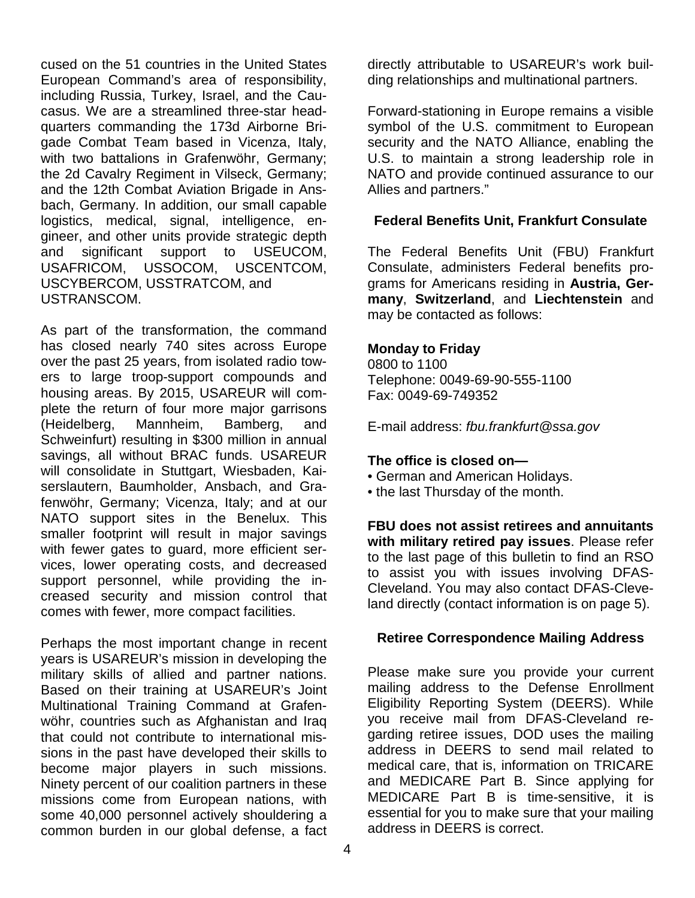cused on the 51 countries in the United States European Command's area of responsibility, including Russia, Turkey, Israel, and the Caucasus. We are a streamlined three-star headquarters commanding the 173d Airborne Brigade Combat Team based in Vicenza, Italy, with two battalions in Grafenwöhr, Germany; the 2d Cavalry Regiment in Vilseck, Germany; and the 12th Combat Aviation Brigade in Ansbach, Germany. In addition, our small capable logistics, medical, signal, intelligence, engineer, and other units provide strategic depth and significant support to USEUCOM, USAFRICOM, USSOCOM, USCENTCOM, USCYBERCOM, USSTRATCOM, and USTRANSCOM.

As part of the transformation, the command has closed nearly 740 sites across Europe over the past 25 years, from isolated radio towers to large troop-support compounds and housing areas. By 2015, USAREUR will complete the return of four more major garrisons (Heidelberg, Mannheim, Bamberg, and Schweinfurt) resulting in \$300 million in annual savings, all without BRAC funds. USAREUR will consolidate in Stuttgart, Wiesbaden, Kaiserslautern, Baumholder, Ansbach, and Grafenwöhr, Germany; Vicenza, Italy; and at our NATO support sites in the Benelux. This smaller footprint will result in major savings with fewer gates to guard, more efficient services, lower operating costs, and decreased support personnel, while providing the increased security and mission control that comes with fewer, more compact facilities.

Perhaps the most important change in recent years is USAREUR's mission in developing the military skills of allied and partner nations. Based on their training at USAREUR's Joint Multinational Training Command at Grafenwöhr, countries such as Afghanistan and Iraq that could not contribute to international missions in the past have developed their skills to become major players in such missions. Ninety percent of our coalition partners in these missions come from European nations, with some 40,000 personnel actively shouldering a common burden in our global defense, a fact

directly attributable to USAREUR's work building relationships and multinational partners.

Forward-stationing in Europe remains a visible symbol of the U.S. commitment to European security and the NATO Alliance, enabling the U.S. to maintain a strong leadership role in NATO and provide continued assurance to our Allies and partners."

#### **Federal Benefits Unit, Frankfurt Consulate**

The Federal Benefits Unit (FBU) Frankfurt Consulate, administers Federal benefits programs for Americans residing in **Austria, Germany**, **Switzerland**, and **Liechtenstein** and may be contacted as follows:

#### **Monday to Friday**

0800 to 1100 Telephone: 0049-69-90-555-1100 Fax: 0049-69-749352

E-mail address: *fbu.frankfurt@ssa.gov*

#### **The office is closed on—**

• German and American Holidays.

• the last Thursday of the month.

**FBU does not assist retirees and annuitants with military retired pay issues**. Please refer to the last page of this bulletin to find an RSO to assist you with issues involving DFAS-Cleveland. You may also contact DFAS-Cleveland directly (contact information is on page 5).

#### **Retiree Correspondence Mailing Address**

Please make sure you provide your current mailing address to the Defense Enrollment Eligibility Reporting System (DEERS). While you receive mail from DFAS-Cleveland regarding retiree issues, DOD uses the mailing address in DEERS to send mail related to medical care, that is, information on TRICARE and MEDICARE Part B. Since applying for MEDICARE Part B is time-sensitive, it is essential for you to make sure that your mailing address in DEERS is correct.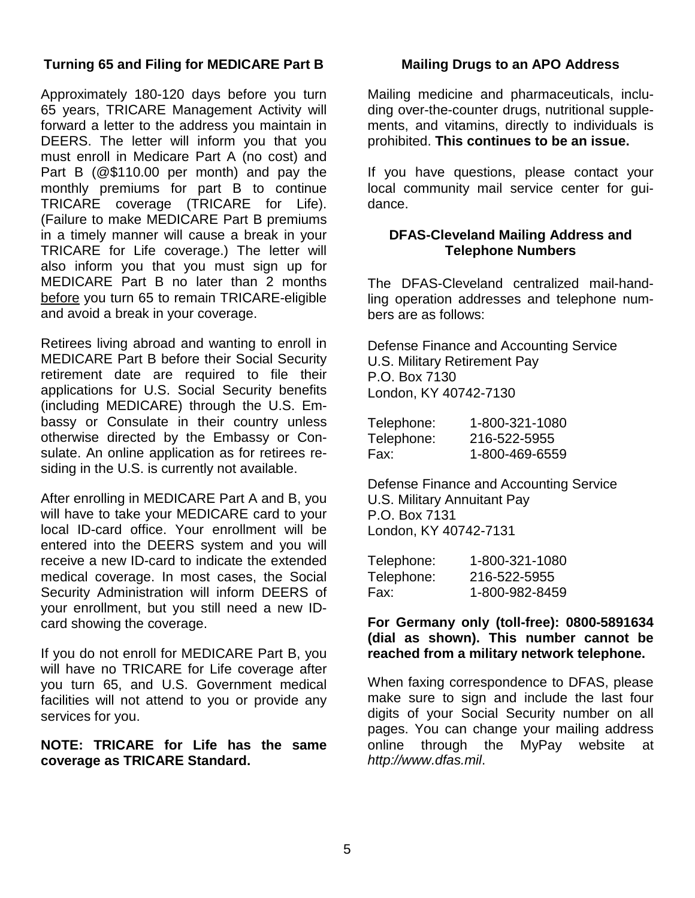### **Turning 65 and Filing for MEDICARE Part B**

Approximately 180-120 days before you turn 65 years, TRICARE Management Activity will forward a letter to the address you maintain in DEERS. The letter will inform you that you must enroll in Medicare Part A (no cost) and Part B (@\$110.00 per month) and pay the monthly premiums for part B to continue TRICARE coverage (TRICARE for Life). (Failure to make MEDICARE Part B premiums in a timely manner will cause a break in your TRICARE for Life coverage.) The letter will also inform you that you must sign up for MEDICARE Part B no later than 2 months before you turn 65 to remain TRICARE-eligible and avoid a break in your coverage.

Retirees living abroad and wanting to enroll in MEDICARE Part B before their Social Security retirement date are required to file their applications for U.S. Social Security benefits (including MEDICARE) through the U.S. Embassy or Consulate in their country unless otherwise directed by the Embassy or Consulate. An online application as for retirees residing in the U.S. is currently not available.

After enrolling in MEDICARE Part A and B, you will have to take your MEDICARE card to your local ID-card office. Your enrollment will be entered into the DEERS system and you will receive a new ID-card to indicate the extended medical coverage. In most cases, the Social Security Administration will inform DEERS of your enrollment, but you still need a new IDcard showing the coverage.

If you do not enroll for MEDICARE Part B, you will have no TRICARE for Life coverage after you turn 65, and U.S. Government medical facilities will not attend to you or provide any services for you.

**NOTE: TRICARE for Life has the same coverage as TRICARE Standard.**

### **Mailing Drugs to an APO Address**

Mailing medicine and pharmaceuticals, including over-the-counter drugs, nutritional supplements, and vitamins, directly to individuals is prohibited. **This continues to be an issue.**

If you have questions, please contact your local community mail service center for guidance.

#### **DFAS-Cleveland Mailing Address and Telephone Numbers**

The DFAS-Cleveland centralized mail-handling operation addresses and telephone numbers are as follows:

Defense Finance and Accounting Service U.S. Military Retirement Pay P.O. Box 7130 London, KY 40742-7130

| Telephone: | 1-800-321-1080 |
|------------|----------------|
| Telephone: | 216-522-5955   |
| Fax:       | 1-800-469-6559 |

Defense Finance and Accounting Service U.S. Military Annuitant Pay P.O. Box 7131 London, KY 40742-7131

| Telephone: | 1-800-321-1080 |
|------------|----------------|
| Telephone: | 216-522-5955   |
| Fax:       | 1-800-982-8459 |

#### **For Germany only (toll-free): 0800-5891634 (dial as shown). This number cannot be reached from a military network telephone.**

When faxing correspondence to DFAS, please make sure to sign and include the last four digits of your Social Security number on all pages. You can change your mailing address online through the MyPay website at *http://www.dfas.mil*.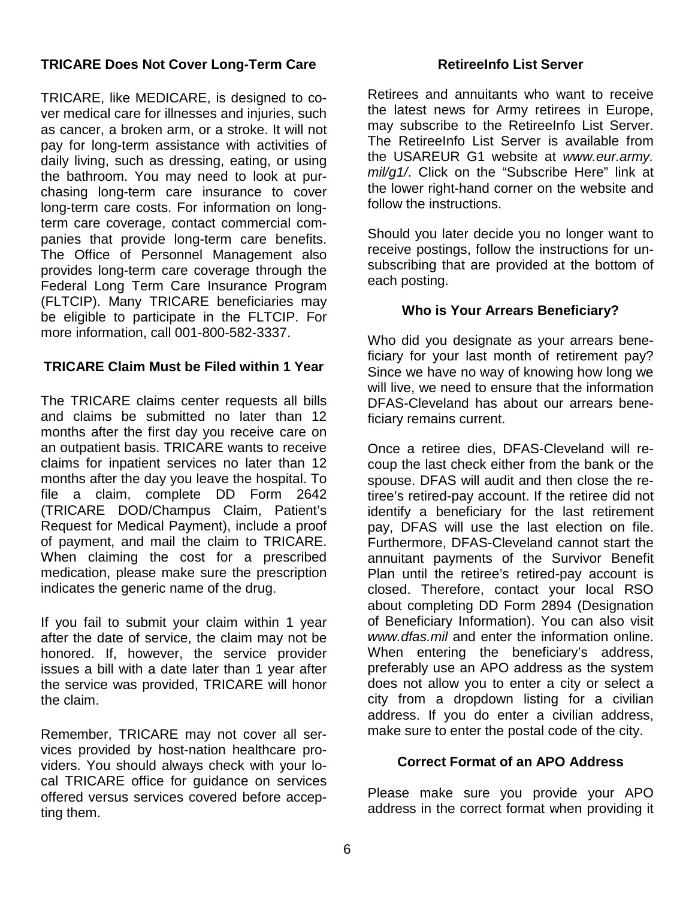### **TRICARE Does Not Cover Long-Term Care**

TRICARE, like MEDICARE, is designed to cover medical care for illnesses and injuries, such as cancer, a broken arm, or a stroke. It will not pay for long-term assistance with activities of daily living, such as dressing, eating, or using the bathroom. You may need to look at purchasing long-term care insurance to cover long-term care costs. For information on longterm care coverage, contact commercial companies that provide long-term care benefits. The Office of Personnel Management also provides long-term care coverage through the Federal Long Term Care Insurance Program (FLTCIP). Many TRICARE beneficiaries may be eligible to participate in the FLTCIP. For more information, call 001-800-582-3337.

### **TRICARE Claim Must be Filed within 1 Year**

The TRICARE claims center requests all bills and claims be submitted no later than 12 months after the first day you receive care on an outpatient basis. TRICARE wants to receive claims for inpatient services no later than 12 months after the day you leave the hospital. To file a claim, complete DD Form 2642 (TRICARE DOD/Champus Claim, Patient's Request for Medical Payment), include a proof of payment, and mail the claim to TRICARE. When claiming the cost for a prescribed medication, please make sure the prescription indicates the generic name of the drug.

If you fail to submit your claim within 1 year after the date of service, the claim may not be honored. If, however, the service provider issues a bill with a date later than 1 year after the service was provided, TRICARE will honor the claim.

Remember, TRICARE may not cover all services provided by host-nation healthcare providers. You should always check with your local TRICARE office for guidance on services offered versus services covered before accepting them.

#### **RetireeInfo List Server**

Retirees and annuitants who want to receive the latest news for Army retirees in Europe, may subscribe to the RetireeInfo List Server. The RetireeInfo List Server is available from the USAREUR G1 website at *www.eur.army. mil/g1/*. Click on the "Subscribe Here" link at the lower right-hand corner on the website and follow the instructions.

Should you later decide you no longer want to receive postings, follow the instructions for unsubscribing that are provided at the bottom of each posting.

### **Who is Your Arrears Beneficiary?**

Who did you designate as your arrears beneficiary for your last month of retirement pay? Since we have no way of knowing how long we will live, we need to ensure that the information DFAS-Cleveland has about our arrears beneficiary remains current.

Once a retiree dies, DFAS-Cleveland will recoup the last check either from the bank or the spouse. DFAS will audit and then close the retiree's retired-pay account. If the retiree did not identify a beneficiary for the last retirement pay, DFAS will use the last election on file. Furthermore, DFAS-Cleveland cannot start the annuitant payments of the Survivor Benefit Plan until the retiree's retired-pay account is closed. Therefore, contact your local RSO about completing DD Form 2894 (Designation of Beneficiary Information). You can also visit *www.dfas.mil* and enter the information online. When entering the beneficiary's address, preferably use an APO address as the system does not allow you to enter a city or select a city from a dropdown listing for a civilian address. If you do enter a civilian address, make sure to enter the postal code of the city.

#### **Correct Format of an APO Address**

Please make sure you provide your APO address in the correct format when providing it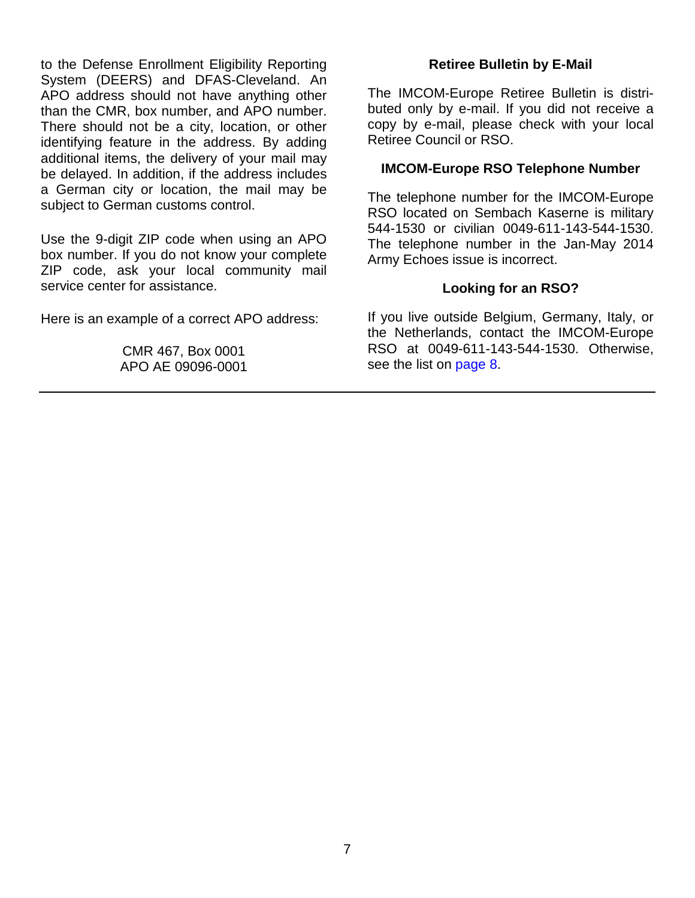to the Defense Enrollment Eligibility Reporting System (DEERS) and DFAS-Cleveland. An APO address should not have anything other than the CMR, box number, and APO number. There should not be a city, location, or other identifying feature in the address. By adding additional items, the delivery of your mail may be delayed. In addition, if the address includes a German city or location, the mail may be subject to German customs control.

Use the 9-digit ZIP code when using an APO box number. If you do not know your complete ZIP code, ask your local community mail service center for assistance.

Here is an example of a correct APO address:

CMR 467, Box 0001 APO AE 09096-0001

#### **Retiree Bulletin by E-Mail**

The IMCOM-Europe Retiree Bulletin is distributed only by e-mail. If you did not receive a copy by e-mail, please check with your local Retiree Council or RSO.

#### **IMCOM-Europe RSO Telephone Number**

The telephone number for the IMCOM-Europe RSO located on Sembach Kaserne is military 544-1530 or civilian 0049-611-143-544-1530. The telephone number in the Jan-May 2014 Army Echoes issue is incorrect.

#### **Looking for an RSO?**

If you live outside Belgium, Germany, Italy, or the Netherlands, contact the IMCOM-Europe RSO at 0049-611-143-544-1530. Otherwise, see the list on [page 8.](#page-8-0)